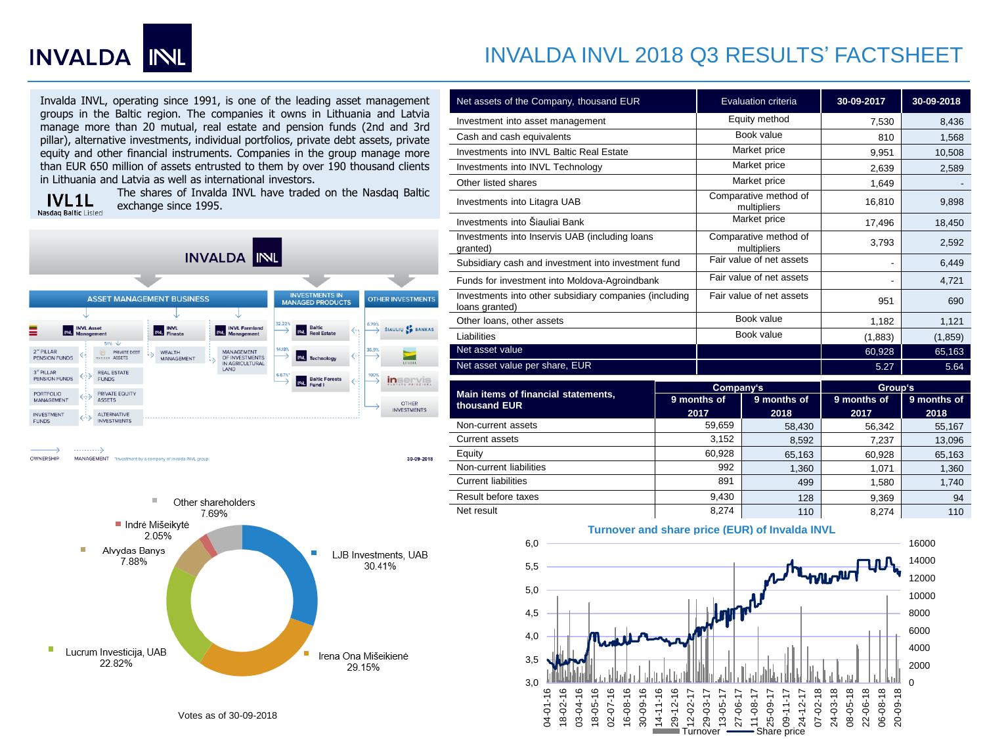

## INVALDA INVL 2018 Q3 RESULTS' FACTSHEET

Invalda INVL, operating since 1991, is one of the leading asset management groups in the Baltic region. The companies it owns in Lithuania and Latvia manage more than 20 mutual, real estate and pension funds (2nd and 3rd pillar), alternative investments, individual portfolios, private debt assets, private equity and other financial instruments. Companies in the group manage more than EUR 650 million of assets entrusted to them by over 190 thousand clients in Lithuania and Latvia as well as international investors.

**IVL1L** Nasdaq Baltic Listed The shares of Invalda INVL have traded on the Nasdaq Baltic exchange since 1995.

30-09-2018



OWNERSHIP MANAGEMENT int by a company of Invalda INVL group



| Net assets of the Company, thousand EUR                                  | Evaluation criteria                  | 30-09-2017 | 30-09-2018 |
|--------------------------------------------------------------------------|--------------------------------------|------------|------------|
| Investment into asset management                                         | Equity method                        | 7,530      | 8,436      |
| Cash and cash equivalents                                                | Book value                           | 810        | 1,568      |
| Investments into INVL Baltic Real Estate                                 | Market price                         | 9,951      | 10,508     |
| Investments into INVL Technology                                         | Market price                         | 2,639      | 2,589      |
| Other listed shares                                                      | Market price                         | 1,649      |            |
| Investments into Litagra UAB                                             | Comparative method of<br>multipliers | 16,810     | 9,898      |
| Investments into Šiauliai Bank                                           | Market price                         | 17,496     | 18,450     |
| Investments into Inservis UAB (including loans<br>granted)               | Comparative method of<br>multipliers | 3,793      | 2,592      |
| Subsidiary cash and investment into investment fund                      | Fair value of net assets             |            | 6,449      |
| Funds for investment into Moldova-Agroindbank                            | Fair value of net assets             |            | 4,721      |
| Investments into other subsidiary companies (including<br>loans granted) | Fair value of net assets             | 951        | 690        |
| Other loans, other assets                                                | Book value                           | 1,182      | 1,121      |
| Liabilities                                                              | Book value                           | (1,883)    | (1, 859)   |
| Net asset value                                                          |                                      | 60,928     | 65,163     |
| Net asset value per share, EUR                                           |                                      | 5.27       | 5.64       |

| Main items of financial statements,<br>thousand EUR | Company's   |             | Group's     |             |
|-----------------------------------------------------|-------------|-------------|-------------|-------------|
|                                                     | 9 months of | 9 months of | 9 months of | 9 months of |
|                                                     | 2017        | 2018        | 2017        | 2018        |
| Non-current assets                                  | 59,659      | 58,430      | 56,342      | 55,167      |
| Current assets                                      | 3,152       | 8,592       | 7,237       | 13,096      |
| Equity                                              | 60.928      | 65,163      | 60,928      | 65,163      |
| Non-current liabilities                             | 992         | 1.360       | 1.071       | 1,360       |
| <b>Current liabilities</b>                          | 891         | 499         | 1.580       | 1,740       |
| Result before taxes                                 | 9.430       | 128         | 9,369       | 94          |
| Net result                                          | 8.274       | 110         | 8.274       | 110         |





Votes as of 30-09-2018